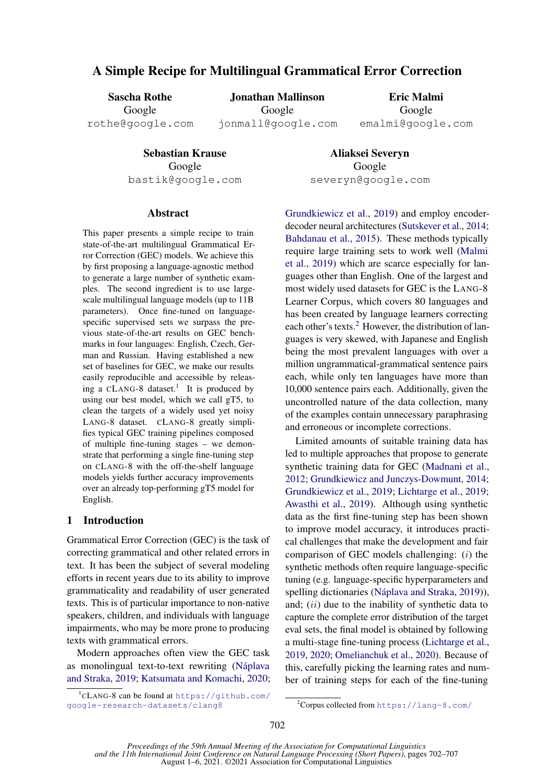# A Simple Recipe for Multilingual Grammatical Error Correction

Sascha Rothe Google rothe@google.com

Jonathan Mallinson Google jonmall@google.com

Eric Malmi Google emalmi@google.com

Sebastian Krause Google bastik@google.com

Aliaksei Severyn Google severyn@google.com

### Abstract

This paper presents a simple recipe to train state-of-the-art multilingual Grammatical Error Correction (GEC) models. We achieve this by first proposing a language-agnostic method to generate a large number of synthetic examples. The second ingredient is to use largescale multilingual language models (up to 11B parameters). Once fine-tuned on languagespecific supervised sets we surpass the previous state-of-the-art results on GEC benchmarks in four languages: English, Czech, German and Russian. Having established a new set of baselines for GEC, we make our results easily reproducible and accessible by releas-ing a CLANG-8 dataset.<sup>[1](#page-0-0)</sup> It is produced by using our best model, which we call gT5, to clean the targets of a widely used yet noisy LANG-8 dataset. CLANG-8 greatly simplifies typical GEC training pipelines composed of multiple fine-tuning stages – we demonstrate that performing a single fine-tuning step on CLANG-8 with the off-the-shelf language models yields further accuracy improvements over an already top-performing gT5 model for English.

# 1 Introduction

Grammatical Error Correction (GEC) is the task of correcting grammatical and other related errors in text. It has been the subject of several modeling efforts in recent years due to its ability to improve grammaticality and readability of user generated texts. This is of particular importance to non-native speakers, children, and individuals with language impairments, who may be more prone to producing texts with grammatical errors.

Modern approaches often view the GEC task as monolingual text-to-text rewriting (Náplava [and Straka,](#page-5-0) [2019;](#page-5-0) [Katsumata and Komachi,](#page-5-1) [2020;](#page-5-1)

[Grundkiewicz et al.,](#page-5-2) [2019\)](#page-5-2) and employ encoderdecoder neural architectures [\(Sutskever et al.,](#page-5-3) [2014;](#page-5-3) [Bahdanau et al.,](#page-4-0) [2015\)](#page-4-0). These methods typically require large training sets to work well [\(Malmi](#page-5-4) [et al.,](#page-5-4) [2019\)](#page-5-4) which are scarce especially for languages other than English. One of the largest and most widely used datasets for GEC is the LANG-8 Learner Corpus, which covers 80 languages and has been created by language learners correcting each other's texts.<sup>[2](#page-0-1)</sup> However, the distribution of languages is very skewed, with Japanese and English being the most prevalent languages with over a million ungrammatical-grammatical sentence pairs each, while only ten languages have more than 10,000 sentence pairs each. Additionally, given the uncontrolled nature of the data collection, many of the examples contain unnecessary paraphrasing and erroneous or incomplete corrections.

Limited amounts of suitable training data has led to multiple approaches that propose to generate synthetic training data for GEC [\(Madnani et al.,](#page-5-5) [2012;](#page-5-5) [Grundkiewicz and Junczys-Dowmunt,](#page-4-1) [2014;](#page-4-1) [Grundkiewicz et al.,](#page-5-2) [2019;](#page-5-2) [Lichtarge et al.,](#page-5-6) [2019;](#page-5-6) [Awasthi et al.,](#page-4-2) [2019\)](#page-4-2). Although using synthetic data as the first fine-tuning step has been shown to improve model accuracy, it introduces practical challenges that make the development and fair comparison of GEC models challenging:  $(i)$  the synthetic methods often require language-specific tuning (e.g. language-specific hyperparameters and spelling dictionaries (Náplava and Straka, [2019\)](#page-5-0)), and;  $(ii)$  due to the inability of synthetic data to capture the complete error distribution of the target eval sets, the final model is obtained by following a multi-stage fine-tuning process [\(Lichtarge et al.,](#page-5-6) [2019,](#page-5-6) [2020;](#page-5-7) [Omelianchuk et al.,](#page-5-8) [2020\)](#page-5-8). Because of this, carefully picking the learning rates and number of training steps for each of the fine-tuning

<span id="page-0-0"></span><sup>1</sup> CLANG-8 can be found at [https://github.com/](https://github.com/google-research-datasets/clang8) [google-research-datasets/clang8](https://github.com/google-research-datasets/clang8)

<span id="page-0-1"></span><sup>2</sup>Corpus collected from <https://lang-8.com/>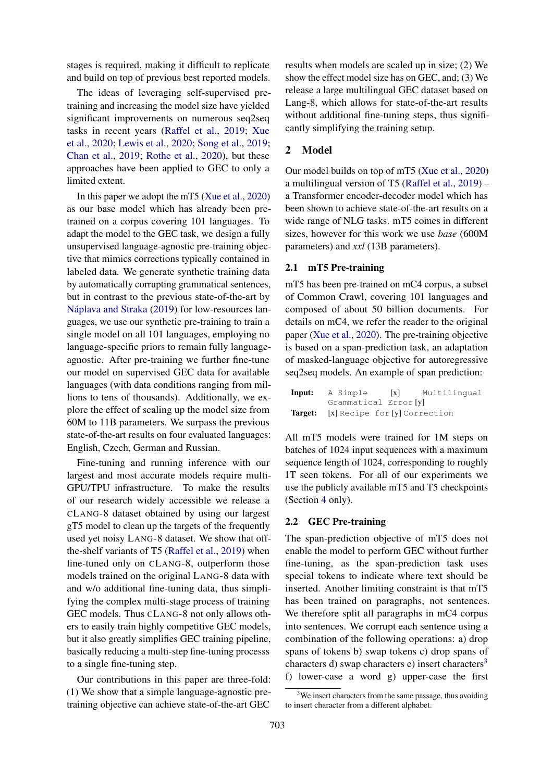stages is required, making it difficult to replicate and build on top of previous best reported models.

The ideas of leveraging self-supervised pretraining and increasing the model size have yielded significant improvements on numerous seq2seq tasks in recent years [\(Raffel et al.,](#page-5-9) [2019;](#page-5-9) [Xue](#page-5-10) [et al.,](#page-5-10) [2020;](#page-5-10) [Lewis et al.,](#page-5-11) [2020;](#page-5-11) [Song et al.,](#page-5-12) [2019;](#page-5-12) [Chan et al.,](#page-4-3) [2019;](#page-4-3) [Rothe et al.,](#page-5-13) [2020\)](#page-5-13), but these approaches have been applied to GEC to only a limited extent.

In this paper we adopt the mT5 [\(Xue et al.,](#page-5-10) [2020\)](#page-5-10) as our base model which has already been pretrained on a corpus covering 101 languages. To adapt the model to the GEC task, we design a fully unsupervised language-agnostic pre-training objective that mimics corrections typically contained in labeled data. We generate synthetic training data by automatically corrupting grammatical sentences, but in contrast to the previous state-of-the-art by Náplava and Straka [\(2019\)](#page-5-0) for low-resources languages, we use our synthetic pre-training to train a single model on all 101 languages, employing no language-specific priors to remain fully languageagnostic. After pre-training we further fine-tune our model on supervised GEC data for available languages (with data conditions ranging from millions to tens of thousands). Additionally, we explore the effect of scaling up the model size from 60M to 11B parameters. We surpass the previous state-of-the-art results on four evaluated languages: English, Czech, German and Russian.

Fine-tuning and running inference with our largest and most accurate models require multi-GPU/TPU infrastructure. To make the results of our research widely accessible we release a CLANG-8 dataset obtained by using our largest gT5 model to clean up the targets of the frequently used yet noisy LANG-8 dataset. We show that offthe-shelf variants of T5 [\(Raffel et al.,](#page-5-9) [2019\)](#page-5-9) when fine-tuned only on CLANG-8, outperform those models trained on the original LANG-8 data with and w/o additional fine-tuning data, thus simplifying the complex multi-stage process of training GEC models. Thus CLANG-8 not only allows others to easily train highly competitive GEC models, but it also greatly simplifies GEC training pipeline, basically reducing a multi-step fine-tuning processs to a single fine-tuning step.

Our contributions in this paper are three-fold: (1) We show that a simple language-agnostic pretraining objective can achieve state-of-the-art GEC results when models are scaled up in size; (2) We show the effect model size has on GEC, and; (3) We release a large multilingual GEC dataset based on Lang-8, which allows for state-of-the-art results without additional fine-tuning steps, thus significantly simplifying the training setup.

# 2 Model

Our model builds on top of mT5 [\(Xue et al.,](#page-5-10) [2020\)](#page-5-10) a multilingual version of T5 [\(Raffel et al.,](#page-5-9) [2019\)](#page-5-9) – a Transformer encoder-decoder model which has been shown to achieve state-of-the-art results on a wide range of NLG tasks. mT5 comes in different sizes, however for this work we use *base* (600M parameters) and *xxl* (13B parameters).

# <span id="page-1-1"></span>2.1 mT5 Pre-training

mT5 has been pre-trained on mC4 corpus, a subset of Common Crawl, covering 101 languages and composed of about 50 billion documents. For details on mC4, we refer the reader to the original paper [\(Xue et al.,](#page-5-10) [2020\)](#page-5-10). The pre-training objective is based on a span-prediction task, an adaptation of masked-language objective for autoregressive seq2seq models. An example of span prediction:

| Input: A Simple                              | [x] Multilingual |
|----------------------------------------------|------------------|
| Grammatical Error [y]                        |                  |
| <b>Target:</b> [x] Recipe for [y] Correction |                  |

All mT5 models were trained for 1M steps on batches of 1024 input sequences with a maximum sequence length of 1024, corresponding to roughly 1T seen tokens. For all of our experiments we use the publicly available mT5 and T5 checkpoints (Section [4](#page-2-0) only).

### <span id="page-1-2"></span>2.2 GEC Pre-training

The span-prediction objective of mT5 does not enable the model to perform GEC without further fine-tuning, as the span-prediction task uses special tokens to indicate where text should be inserted. Another limiting constraint is that mT5 has been trained on paragraphs, not sentences. We therefore split all paragraphs in mC4 corpus into sentences. We corrupt each sentence using a combination of the following operations: a) drop spans of tokens b) swap tokens c) drop spans of characters d) swap characters e) insert characters<sup>[3](#page-1-0)</sup> f) lower-case a word g) upper-case the first

<span id="page-1-0"></span> $3$ We insert characters from the same passage, thus avoiding to insert character from a different alphabet.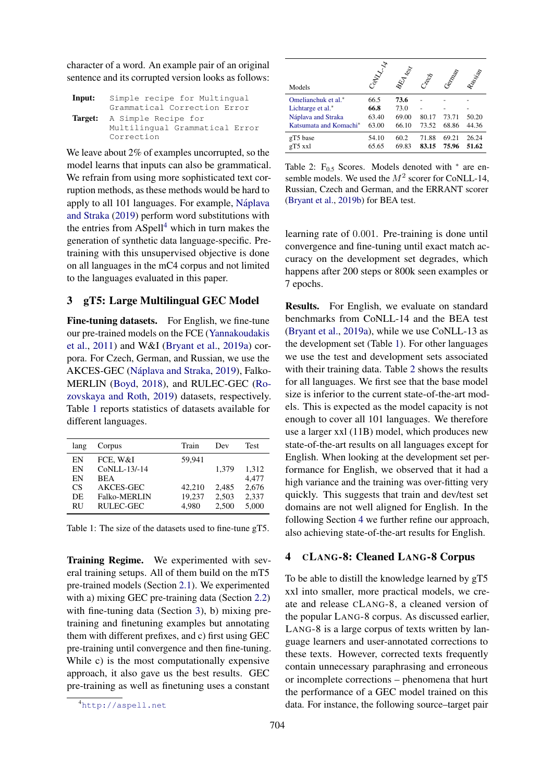character of a word. An example pair of an original sentence and its corrupted version looks as follows:

| Input: | Simple recipe for Multingual   |  |  |
|--------|--------------------------------|--|--|
|        | Grammatical Correction Error   |  |  |
|        | Target: A Simple Recipe for    |  |  |
|        | Multilingual Grammatical Error |  |  |
|        | Correction                     |  |  |

We leave about 2% of examples uncorrupted, so the model learns that inputs can also be grammatical. We refrain from using more sophisticated text corruption methods, as these methods would be hard to apply to all 101 languages. For example, Náplava [and Straka](#page-5-0) [\(2019\)](#page-5-0) perform word substitutions with the entries from ASpell<sup>[4](#page-2-1)</sup> which in turn makes the generation of synthetic data language-specific. Pretraining with this unsupervised objective is done on all languages in the mC4 corpus and not limited to the languages evaluated in this paper.

# 3 gT5: Large Multilingual GEC Model

<span id="page-2-3"></span>Fine-tuning datasets. For English, we fine-tune our pre-trained models on the FCE [\(Yannakoudakis](#page-5-14) [et al.,](#page-5-14) [2011\)](#page-5-14) and W&I [\(Bryant et al.,](#page-4-4) [2019a\)](#page-4-4) corpora. For Czech, German, and Russian, we use the AKCES-GEC (Náplava and Straka, [2019\)](#page-5-0), Falko-MERLIN [\(Boyd,](#page-4-5) [2018\)](#page-4-5), and RULEC-GEC [\(Ro](#page-5-15)[zovskaya and Roth,](#page-5-15) [2019\)](#page-5-15) datasets, respectively. Table [1](#page-2-2) reports statistics of datasets available for different languages.

<span id="page-2-2"></span>

| Corpus              | Train  | Dev   | <b>Test</b> |
|---------------------|--------|-------|-------------|
| FCE, W&I            | 59,941 |       |             |
| CoNLL-13/-14        |        | 1,379 | 1,312       |
| <b>BEA</b>          |        |       | 4.477       |
| AKCES-GEC           | 42.210 | 2,485 | 2,676       |
| <b>Falko-MERLIN</b> | 19,237 | 2,503 | 2,337       |
| RULEC-GEC           | 4.980  | 2,500 | 5,000       |
|                     |        |       |             |

Table 1: The size of the datasets used to fine-tune gT5.

Training Regime. We experimented with several training setups. All of them build on the mT5 pre-trained models (Section [2.1\)](#page-1-1). We experimented with a) mixing GEC pre-training data (Section [2.2\)](#page-1-2) with fine-tuning data (Section [3\)](#page-2-3), b) mixing pretraining and finetuning examples but annotating them with different prefixes, and c) first using GEC pre-training until convergence and then fine-tuning. While c) is the most computationally expensive approach, it also gave us the best results. GEC pre-training as well as finetuning uses a constant

<span id="page-2-4"></span>

| Models                             | Control 14 | <b>BEA</b> less | Creek | Cemplat | Rossissip |
|------------------------------------|------------|-----------------|-------|---------|-----------|
| Omelianchuk et al.*                | 66.5       | 73.6            |       |         |           |
| Lichtarge et al.*                  | 66.8       | 73.0            |       |         |           |
| Náplava and Straka                 | 63.40      | 69.00           | 80.17 | 73.71   | 50.20     |
| Katsumata and Komachi <sup>*</sup> | 63.00      | 66.10           | 73.52 | 68.86   | 44.36     |
| gT5 base                           | 54.10      | 60.2            | 71.88 | 69.21   | 26.24     |
| gT5 xxl                            | 65.65      | 69.83           | 83.15 | 75.96   | 51.62     |

Table 2:  $F_{0.5}$  Scores. Models denoted with  $*$  are ensemble models. We used the  $M^2$  scorer for CoNLL-14, Russian, Czech and German, and the ERRANT scorer [\(Bryant et al.,](#page-4-6) [2019b\)](#page-4-6) for BEA test.

learning rate of 0.001. Pre-training is done until convergence and fine-tuning until exact match accuracy on the development set degrades, which happens after 200 steps or 800k seen examples or 7 epochs.

Results. For English, we evaluate on standard benchmarks from CoNLL-14 and the BEA test [\(Bryant et al.,](#page-4-4) [2019a\)](#page-4-4), while we use CoNLL-13 as the development set (Table [1\)](#page-2-2). For other languages we use the test and development sets associated with their training data. Table [2](#page-2-4) shows the results for all languages. We first see that the base model size is inferior to the current state-of-the-art models. This is expected as the model capacity is not enough to cover all 101 languages. We therefore use a larger xxl (11B) model, which produces new state-of-the-art results on all languages except for English. When looking at the development set performance for English, we observed that it had a high variance and the training was over-fitting very quickly. This suggests that train and dev/test set domains are not well aligned for English. In the following Section [4](#page-2-0) we further refine our approach, also achieving state-of-the-art results for English.

# <span id="page-2-0"></span>4 CLANG-8: Cleaned LANG-8 Corpus

To be able to distill the knowledge learned by gT5 xxl into smaller, more practical models, we create and release CLANG-8, a cleaned version of the popular LANG-8 corpus. As discussed earlier, LANG-8 is a large corpus of texts written by language learners and user-annotated corrections to these texts. However, corrected texts frequently contain unnecessary paraphrasing and erroneous or incomplete corrections – phenomena that hurt the performance of a GEC model trained on this data. For instance, the following source–target pair

<span id="page-2-1"></span><sup>4</sup><http://aspell.net>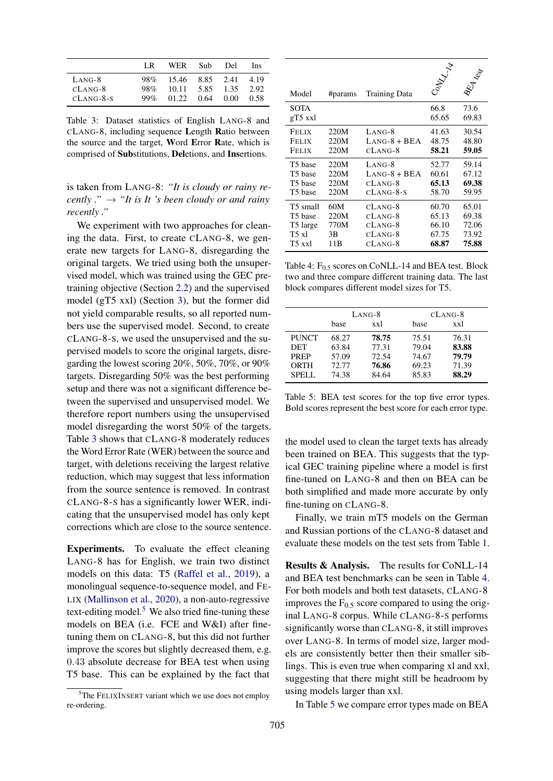<span id="page-3-0"></span>

|             | LR     | WER.  | Sub- | Del  | Ins. |
|-------------|--------|-------|------|------|------|
| $LANG-8$    | 98%    | 15.46 | 8.85 | 2.41 | 4.19 |
| $CLANG-8$   | 98%    | 10.11 | 5.85 | 1.35 | 2.92 |
| $CLANG-8-S$ | $99\%$ | 01.22 | 0.64 | 0.00 | 0.58 |

Table 3: Dataset statistics of English LANG-8 and CLANG-8, including sequence Length Ratio between the source and the target, Word Error Rate, which is comprised of Substitutions, Deletions, and Insertions.

is taken from LANG-8: *"It is cloudy or rainy recently ."*  $\rightarrow$  "*It is It 's been cloudy or and rainy recently ."*

We experiment with two approaches for cleaning the data. First, to create CLANG-8, we generate new targets for LANG-8, disregarding the original targets. We tried using both the unsupervised model, which was trained using the GEC pretraining objective (Section [2.2\)](#page-1-2) and the supervised model (gT5 xxl) (Section [3\)](#page-2-3), but the former did not yield comparable results, so all reported numbers use the supervised model. Second, to create CLANG-8-S, we used the unsupervised and the supervised models to score the original targets, disregarding the lowest scoring 20%, 50%, 70%, or 90% targets. Disregarding 50% was the best performing setup and there was not a significant difference between the supervised and unsupervised model. We therefore report numbers using the unsupervised model disregarding the worst 50% of the targets. Table [3](#page-3-0) shows that CLANG-8 moderately reduces the Word Error Rate (WER) between the source and target, with deletions receiving the largest relative reduction, which may suggest that less information from the source sentence is removed. In contrast CLANG-8-S has a significantly lower WER, indicating that the unsupervised model has only kept corrections which are close to the source sentence.

Experiments. To evaluate the effect cleaning LANG-8 has for English, we train two distinct models on this data: T5 [\(Raffel et al.,](#page-5-9) [2019\)](#page-5-9), a monolingual sequence-to-sequence model, and FE-LIX [\(Mallinson et al.,](#page-5-16) [2020\)](#page-5-16), a non-auto-regressive text-editing model. $5$  We also tried fine-tuning these models on BEA (i.e. FCE and W&I) after finetuning them on CLANG-8, but this did not further improve the scores but slightly decreased them, e.g. 0.43 absolute decrease for BEA test when using T5 base. This can be explained by the fact that

<span id="page-3-2"></span>

| Model             | #params | <b>Training Data</b> | PANTA R       | E. Kess       |
|-------------------|---------|----------------------|---------------|---------------|
| SOTA<br>$gT5$ xxl |         |                      | 66.8<br>65.65 | 73.6<br>69.83 |
| Felix             | 220M    | LANG-8               | 41.63         | 30.54         |
| Felix             | 220M    | $LANG-8 + BEA$       | 48.75         | 48.80         |
| Felix             | 220M    | $CLANG-8$            | 58.21         | 59.05         |
| T5 base           | 220M    | $LANG-8$             | 52.77         | 59.14         |
| T5 base           | 220M    | $LANG-8 + BEA$       | 60.61         | 67.12         |
| T5 base           | 220M    | $CLANG-8$            | 65.13         | 69.38         |
| T5 base           | 220M    | $CLANG-8-S$          | 58.70         | 59.95         |
| T5 small          | 60M     | $CLANG-8$            | 60.70         | 65.01         |
| T5 base           | 220M    | $CLANG-8$            | 65.13         | 69.38         |
| T5 large          | 770M    | $CLANG-8$            | 66.10         | 72.06         |
| T5 xl             | 3B      | CLANG-8              | 67.75         | 73.92         |
| T5 xxl            | 11B     | $CLANG-8$            | 68.87         | 75.88         |

Table 4:  $F_{0.5}$  scores on CoNLL-14 and BEA test. Block two and three compare different training data. The last block compares different model sizes for T5.

<span id="page-3-3"></span>

|              | $L$ ANG-8 |       |       | $CLANG-8$ |
|--------------|-----------|-------|-------|-----------|
|              | base      | xxl   | base  | xxl       |
| <b>PUNCT</b> | 68.27     | 78.75 | 75.51 | 76.31     |
| DET          | 63.84     | 77.31 | 79.04 | 83.88     |
| <b>PREP</b>  | 57.09     | 72.54 | 74.67 | 79.79     |
| ORTH         | 72.77     | 76.86 | 69.23 | 71.39     |
| SPELL.       | 74.38     | 84.64 | 85.83 | 88.29     |

Table 5: BEA test scores for the top five error types. Bold scores represent the best score for each error type.

the model used to clean the target texts has already been trained on BEA. This suggests that the typical GEC training pipeline where a model is first fine-tuned on LANG-8 and then on BEA can be both simplified and made more accurate by only fine-tuning on CLANG-8.

Finally, we train mT5 models on the German and Russian portions of the CLANG-8 dataset and evaluate these models on the test sets from Table [1.](#page-2-2)

Results & Analysis. The results for CoNLL-14 and BEA test benchmarks can be seen in Table [4.](#page-3-2) For both models and both test datasets, CLANG-8 improves the  $F<sub>0.5</sub>$  score compared to using the original LANG-8 corpus. While CLANG-8-S performs significantly worse than CLANG-8, it still improves over LANG-8. In terms of model size, larger models are consistently better then their smaller siblings. This is even true when comparing xl and xxl, suggesting that there might still be headroom by using models larger than xxl.

In Table [5](#page-3-3) we compare error types made on BEA

<span id="page-3-1"></span><sup>&</sup>lt;sup>5</sup>The FELIXINSERT variant which we use does not employ re-ordering.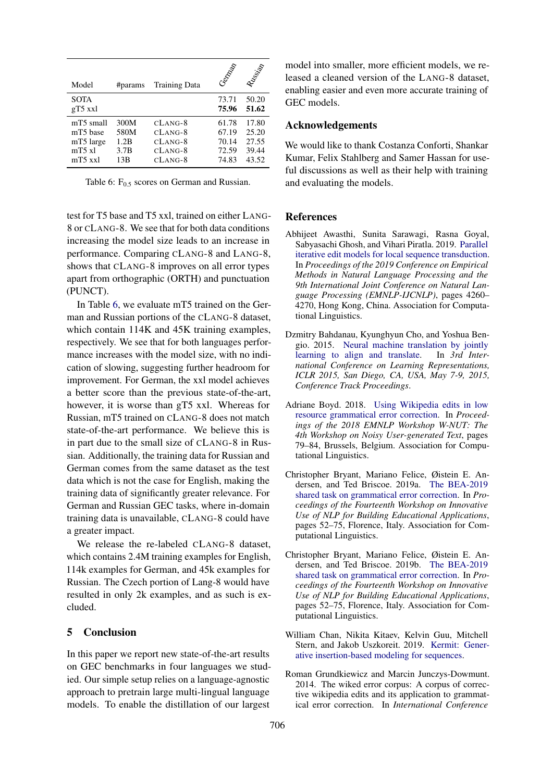<span id="page-4-7"></span>

| Model                                                       | #params                             | <b>Training Data</b>                                          | Ceptage                                   | Russian                                   |
|-------------------------------------------------------------|-------------------------------------|---------------------------------------------------------------|-------------------------------------------|-------------------------------------------|
| <b>SOTA</b><br>gT5 xxl                                      |                                     |                                                               | 73.71<br>75.96                            | 50.20<br>51.62                            |
| mT5 small<br>mT5 base<br>mT5 large<br>$mT5$ xl<br>$mT5$ xxl | 300M<br>580M<br>1.2B<br>3.7B<br>13B | $CLANG-8$<br>$CLANG-8$<br>$CLANG-8$<br>$CLANG-8$<br>$CLANG-8$ | 61.78<br>67.19<br>70.14<br>72.59<br>74.83 | 17.80<br>25.20<br>27.55<br>39.44<br>43.52 |

Table 6:  $F_{0.5}$  scores on German and Russian.

test for T5 base and T5 xxl, trained on either LANG-8 or CLANG-8. We see that for both data conditions increasing the model size leads to an increase in performance. Comparing CLANG-8 and LANG-8, shows that CLANG-8 improves on all error types apart from orthographic (ORTH) and punctuation (PUNCT).

In Table [6,](#page-4-7) we evaluate mT5 trained on the German and Russian portions of the CLANG-8 dataset, which contain 114K and 45K training examples, respectively. We see that for both languages performance increases with the model size, with no indication of slowing, suggesting further headroom for improvement. For German, the xxl model achieves a better score than the previous state-of-the-art, however, it is worse than gT5 xxl. Whereas for Russian, mT5 trained on CLANG-8 does not match state-of-the-art performance. We believe this is in part due to the small size of CLANG-8 in Russian. Additionally, the training data for Russian and German comes from the same dataset as the test data which is not the case for English, making the training data of significantly greater relevance. For German and Russian GEC tasks, where in-domain training data is unavailable, CLANG-8 could have a greater impact.

We release the re-labeled CLANG-8 dataset. which contains 2.4M training examples for English, 114k examples for German, and 45k examples for Russian. The Czech portion of Lang-8 would have resulted in only 2k examples, and as such is excluded.

### 5 Conclusion

In this paper we report new state-of-the-art results on GEC benchmarks in four languages we studied. Our simple setup relies on a language-agnostic approach to pretrain large multi-lingual language models. To enable the distillation of our largest

model into smaller, more efficient models, we released a cleaned version of the LANG-8 dataset, enabling easier and even more accurate training of GEC models.

### Acknowledgements

We would like to thank Costanza Conforti, Shankar Kumar, Felix Stahlberg and Samer Hassan for useful discussions as well as their help with training and evaluating the models.

### **References**

- <span id="page-4-2"></span>Abhijeet Awasthi, Sunita Sarawagi, Rasna Goyal, Sabyasachi Ghosh, and Vihari Piratla. 2019. [Parallel](https://doi.org/10.18653/v1/D19-1435) [iterative edit models for local sequence transduction.](https://doi.org/10.18653/v1/D19-1435) In *Proceedings of the 2019 Conference on Empirical Methods in Natural Language Processing and the 9th International Joint Conference on Natural Language Processing (EMNLP-IJCNLP)*, pages 4260– 4270, Hong Kong, China. Association for Computational Linguistics.
- <span id="page-4-0"></span>Dzmitry Bahdanau, Kyunghyun Cho, and Yoshua Bengio. 2015. [Neural machine translation by jointly](http://arxiv.org/abs/1409.0473) [learning to align and translate.](http://arxiv.org/abs/1409.0473) In *3rd International Conference on Learning Representations, ICLR 2015, San Diego, CA, USA, May 7-9, 2015, Conference Track Proceedings*.
- <span id="page-4-5"></span>Adriane Boyd. 2018. [Using Wikipedia edits in low](https://doi.org/10.18653/v1/W18-6111) [resource grammatical error correction.](https://doi.org/10.18653/v1/W18-6111) In *Proceedings of the 2018 EMNLP Workshop W-NUT: The 4th Workshop on Noisy User-generated Text*, pages 79–84, Brussels, Belgium. Association for Computational Linguistics.
- <span id="page-4-4"></span>Christopher Bryant, Mariano Felice, Øistein E. Andersen, and Ted Briscoe. 2019a. [The BEA-2019](https://doi.org/10.18653/v1/W19-4406) [shared task on grammatical error correction.](https://doi.org/10.18653/v1/W19-4406) In *Proceedings of the Fourteenth Workshop on Innovative Use of NLP for Building Educational Applications*, pages 52–75, Florence, Italy. Association for Computational Linguistics.
- <span id="page-4-6"></span>Christopher Bryant, Mariano Felice, Øistein E. Andersen, and Ted Briscoe. 2019b. [The BEA-2019](https://doi.org/10.18653/v1/W19-4406) [shared task on grammatical error correction.](https://doi.org/10.18653/v1/W19-4406) In *Proceedings of the Fourteenth Workshop on Innovative Use of NLP for Building Educational Applications*, pages 52–75, Florence, Italy. Association for Computational Linguistics.
- <span id="page-4-3"></span>William Chan, Nikita Kitaev, Kelvin Guu, Mitchell Stern, and Jakob Uszkoreit. 2019. [Kermit: Gener](http://arxiv.org/abs/1906.01604)[ative insertion-based modeling for sequences.](http://arxiv.org/abs/1906.01604)
- <span id="page-4-1"></span>Roman Grundkiewicz and Marcin Junczys-Dowmunt. 2014. The wiked error corpus: A corpus of corrective wikipedia edits and its application to grammatical error correction. In *International Conference*